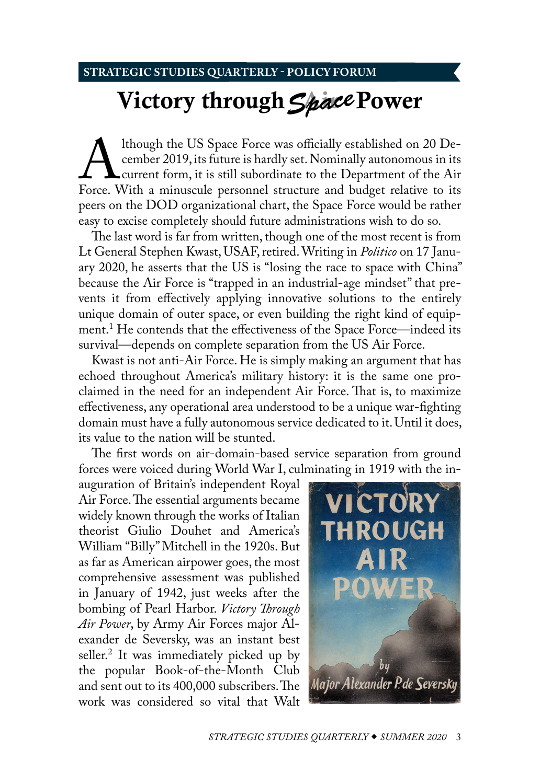## <span id="page-0-0"></span>**STRATEGIC STUDIES QUARTERLY - POLICY FORUM**

# Victory through *Space* Power

Although the US Space Force was officially established on 20 December 2019, its future is hardly set. Nominally autonomous in its current form, it is still subordinate to the Department of the Air Force. With a minuscule p cember 2019, its future is hardly set. Nominally autonomous in its current form, it is still subordinate to the Department of the Air peers on the DOD organizational chart, the Space Force would be rather easy to excise completely should future administrations wish to do so.

The last word is far from written, though one of the most recent is from Lt General Stephen Kwast, USAF, retired. Writing in *Politico* on 17 January 2020, he asserts that the US is "losing the race to space with China" because the Air Force is "trapped in an industrial-age mindset" that prevents it from effectively applying innovative solutions to the entirely unique domain of outer space, or even building the right kind of equipment[.1](#page-12-0) He contends that the effectiveness of the Space Force—indeed its survival—depends on complete separation from the US Air Force.

Kwast is not anti-Air Force. He is simply making an argument that has echoed throughout America's military history: it is the same one proclaimed in the need for an independent Air Force. That is, to maximize effectiveness, any operational area understood to be a unique war-fighting domain must have a fully autonomous service dedicated to it. Until it does, its value to the nation will be stunted.

The first words on air-domain-based service separation from ground forces were voiced during World War I, culminating in 1919 with the in-

auguration of Britain's independent Royal Air Force. The essential arguments became widely known through the works of Italian theorist Giulio Douhet and America's William "Billy" Mitchell in the 1920s. But as far as American airpower goes, the most comprehensive assessment was published in January of 1942, just weeks after the bombing of Pearl Harbor. *Victory Through Air Power*, by Army Air Forces major Alexander de Seversky, was an instant best seller[.2](#page-12-0) It was immediately picked up by the popular Book-of-the-Month Club and sent out to its 400,000 subscribers. The work was considered so vital that Walt

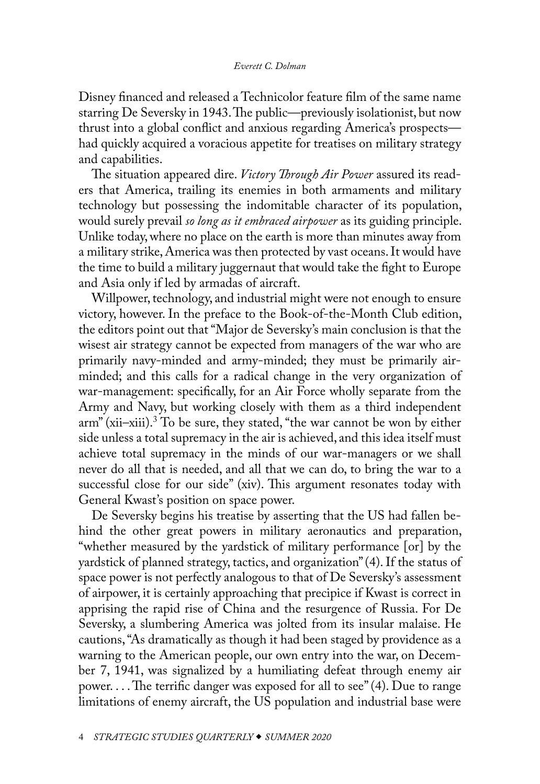<span id="page-1-0"></span>Disney financed and released a Technicolor feature film of the same name starring De Seversky in 1943. The public—previously isolationist, but now thrust into a global conflict and anxious regarding America's prospects had quickly acquired a voracious appetite for treatises on military strategy and capabilities.

The situation appeared dire. *Victory Through Air Power* assured its readers that America, trailing its enemies in both armaments and military technology but possessing the indomitable character of its population, would surely prevail *so long as it embraced airpower* as its guiding principle. Unlike today, where no place on the earth is more than minutes away from a military strike, America was then protected by vast oceans. It would have the time to build a military juggernaut that would take the fight to Europe and Asia only if led by armadas of aircraft.

Willpower, technology, and industrial might were not enough to ensure victory, however. In the preface to the Book-of-the-Month Club edition, the editors point out that "Major de Seversky's main conclusion is that the wisest air strategy cannot be expected from managers of the war who are primarily navy-minded and army-minded; they must be primarily airminded; and this calls for a radical change in the very organization of war-management: specifically, for an Air Force wholly separate from the Army and Navy, but working closely with them as a third independent arm" (xii–xiii)[.3](#page-12-0) To be sure, they stated, "the war cannot be won by either side unless a total supremacy in the air is achieved, and this idea itself must achieve total supremacy in the minds of our war-managers or we shall never do all that is needed, and all that we can do, to bring the war to a successful close for our side" (xiv). This argument resonates today with General Kwast's position on space power.

De Seversky begins his treatise by asserting that the US had fallen behind the other great powers in military aeronautics and preparation, "whether measured by the yardstick of military performance [or] by the yardstick of planned strategy, tactics, and organization" (4). If the status of space power is not perfectly analogous to that of De Seversky's assessment of airpower, it is certainly approaching that precipice if Kwast is correct in apprising the rapid rise of China and the resurgence of Russia. For De Seversky, a slumbering America was jolted from its insular malaise. He cautions, "As dramatically as though it had been staged by providence as a warning to the American people, our own entry into the war, on December 7, 1941, was signalized by a humiliating defeat through enemy air power. . . . The terrific danger was exposed for all to see" (4). Due to range limitations of enemy aircraft, the US population and industrial base were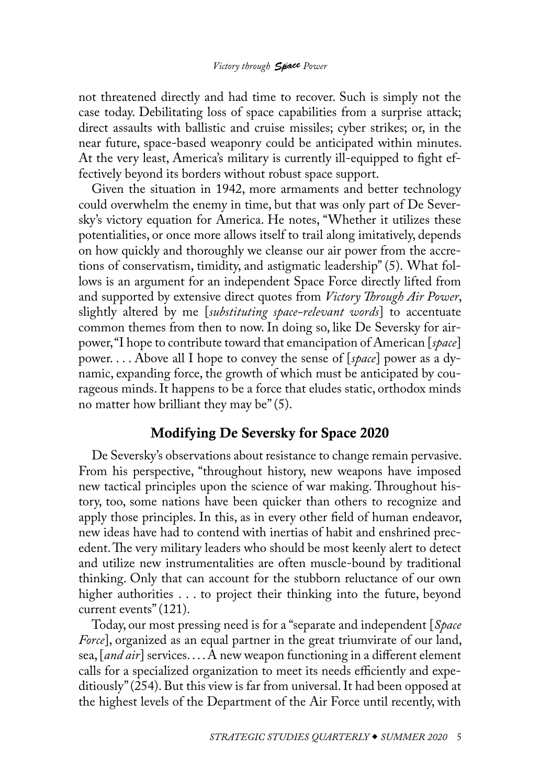### *Victory through* **Space** Power

not threatened directly and had time to recover. Such is simply not the case today. Debilitating loss of space capabilities from a surprise attack; direct assaults with ballistic and cruise missiles; cyber strikes; or, in the near future, space-based weaponry could be anticipated within minutes. At the very least, America's military is currently ill-equipped to fight effectively beyond its borders without robust space support.

Given the situation in 1942, more armaments and better technology could overwhelm the enemy in time, but that was only part of De Seversky's victory equation for America. He notes, "Whether it utilizes these potentialities, or once more allows itself to trail along imitatively, depends on how quickly and thoroughly we cleanse our air power from the accretions of conservatism, timidity, and astigmatic leadership" (5). What follows is an argument for an independent Space Force directly lifted from and supported by extensive direct quotes from *Victory Through Air Power*, slightly altered by me [*substituting space-relevant words*] to accentuate common themes from then to now. In doing so, like De Seversky for airpower, "I hope to contribute toward that emancipation of American [*space*] power. . . . Above all I hope to convey the sense of [*space*] power as a dynamic, expanding force, the growth of which must be anticipated by courageous minds. It happens to be a force that eludes static, orthodox minds no matter how brilliant they may be" (5).

# Modifying De Seversky for Space 2020

De Seversky's observations about resistance to change remain pervasive. From his perspective, "throughout history, new weapons have imposed new tactical principles upon the science of war making. Throughout history, too, some nations have been quicker than others to recognize and apply those principles. In this, as in every other field of human endeavor, new ideas have had to contend with inertias of habit and enshrined precedent. The very military leaders who should be most keenly alert to detect and utilize new instrumentalities are often muscle-bound by traditional thinking. Only that can account for the stubborn reluctance of our own higher authorities . . . to project their thinking into the future, beyond current events" (121).

Today, our most pressing need is for a "separate and independent [*Space Force*], organized as an equal partner in the great triumvirate of our land, sea, [*and air*] services. . . . A new weapon functioning in a different element calls for a specialized organization to meet its needs efficiently and expeditiously" (254). But this view is far from universal. It had been opposed at the highest levels of the Department of the Air Force until recently, with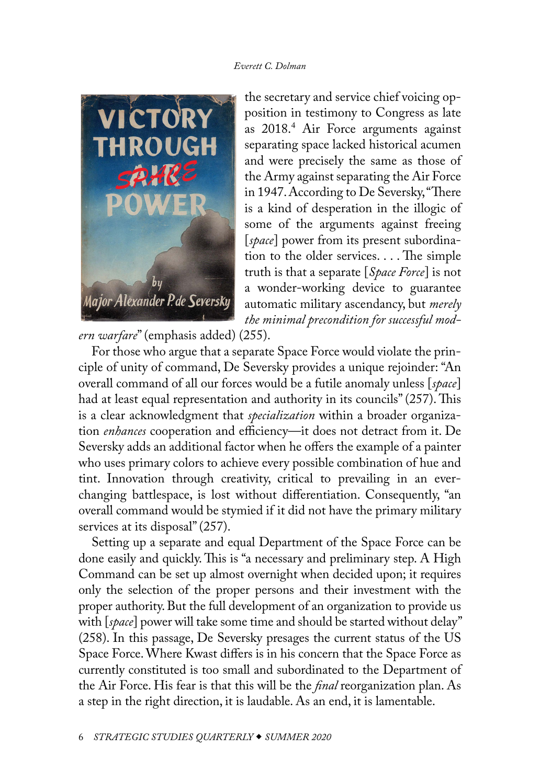<span id="page-3-0"></span>

the secretary and service chief voicing opposition in testimony to Congress as late as 2018[.4](#page-12-0) Air Force arguments against separating space lacked historical acumen and were precisely the same as those of the Army against separating the Air Force in 1947. According to De Seversky, "There is a kind of desperation in the illogic of some of the arguments against freeing [*space*] power from its present subordination to the older services. . . . The simple truth is that a separate [*Space Force*] is not a wonder-working device to guarantee automatic military ascendancy, but *merely the minimal precondition for successful mod-*

*ern warfare*" (emphasis added) (255).

For those who argue that a separate Space Force would violate the principle of unity of command, De Seversky provides a unique rejoinder: "An overall command of all our forces would be a futile anomaly unless [*space*] had at least equal representation and authority in its councils" (257). This is a clear acknowledgment that *specialization* within a broader organization *enhances* cooperation and efficiency—it does not detract from it. De Seversky adds an additional factor when he offers the example of a painter who uses primary colors to achieve every possible combination of hue and tint. Innovation through creativity, critical to prevailing in an everchanging battlespace, is lost without differentiation. Consequently, "an overall command would be stymied if it did not have the primary military services at its disposal" (257).

Setting up a separate and equal Department of the Space Force can be done easily and quickly. This is "a necessary and preliminary step. A High Command can be set up almost overnight when decided upon; it requires only the selection of the proper persons and their investment with the proper authority. But the full development of an organization to provide us with [*space*] power will take some time and should be started without delay" (258). In this passage, De Seversky presages the current status of the US Space Force. Where Kwast differs is in his concern that the Space Force as currently constituted is too small and subordinated to the Department of the Air Force. His fear is that this will be the *final* reorganization plan. As a step in the right direction, it is laudable. As an end, it is lamentable.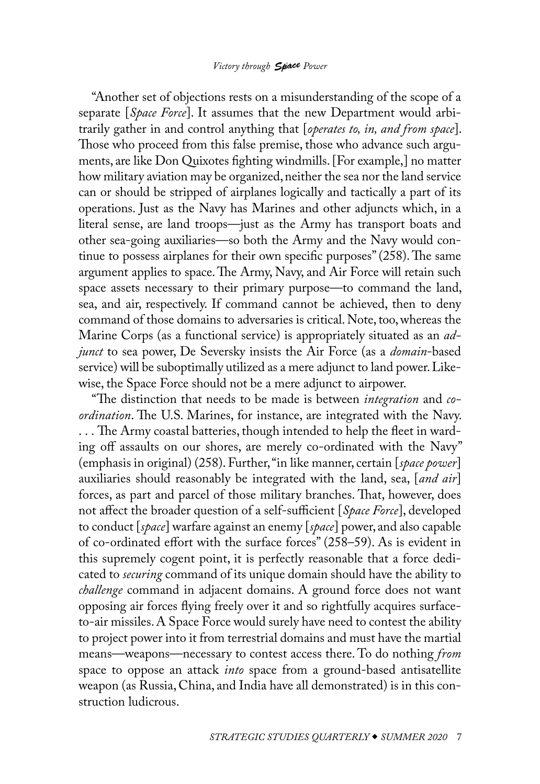#### *Victory through* **Space** Power

"Another set of objections rests on a misunderstanding of the scope of a separate [*Space Force*]. It assumes that the new Department would arbitrarily gather in and control anything that [*operates to, in, and from space*]. Those who proceed from this false premise, those who advance such arguments, are like Don Quixotes fighting windmills. [For example,] no matter how military aviation may be organized, neither the sea nor the land service can or should be stripped of airplanes logically and tactically a part of its operations. Just as the Navy has Marines and other adjuncts which, in a literal sense, are land troops—just as the Army has transport boats and other sea-going auxiliaries—so both the Army and the Navy would continue to possess airplanes for their own specific purposes" (258). The same argument applies to space. The Army, Navy, and Air Force will retain such space assets necessary to their primary purpose—to command the land, sea, and air, respectively. If command cannot be achieved, then to deny command of those domains to adversaries is critical. Note, too, whereas the Marine Corps (as a functional service) is appropriately situated as an *adjunct* to sea power, De Seversky insists the Air Force (as a *domain*-based service) will be suboptimally utilized as a mere adjunct to land power. Likewise, the Space Force should not be a mere adjunct to airpower.

"The distinction that needs to be made is between *integration* and *coordination*. The U.S. Marines, for instance, are integrated with the Navy. . . . The Army coastal batteries, though intended to help the fleet in warding off assaults on our shores, are merely co-ordinated with the Navy" (emphasis in original) (258). Further, "in like manner, certain [*space power*] auxiliaries should reasonably be integrated with the land, sea, [*and air*] forces, as part and parcel of those military branches. That, however, does not affect the broader question of a self-sufficient [*Space Force*], developed to conduct [*space*] warfare against an enemy [*space*] power, and also capable of co-ordinated effort with the surface forces" (258–59). As is evident in this supremely cogent point, it is perfectly reasonable that a force dedicated to *securing* command of its unique domain should have the ability to *challenge* command in adjacent domains. A ground force does not want opposing air forces flying freely over it and so rightfully acquires surfaceto-air missiles. A Space Force would surely have need to contest the ability to project power into it from terrestrial domains and must have the martial means—weapons—necessary to contest access there. To do nothing *from* space to oppose an attack *into* space from a ground-based antisatellite weapon (as Russia, China, and India have all demonstrated) is in this construction ludicrous.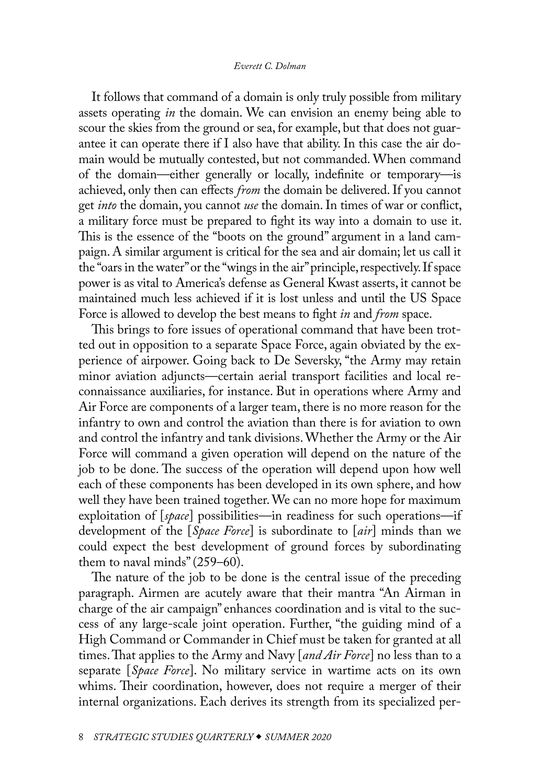It follows that command of a domain is only truly possible from military assets operating *in* the domain. We can envision an enemy being able to scour the skies from the ground or sea, for example, but that does not guarantee it can operate there if I also have that ability. In this case the air domain would be mutually contested, but not commanded. When command of the domain—either generally or locally, indefinite or temporary—is achieved, only then can effects *from* the domain be delivered. If you cannot get *into* the domain, you cannot *use* the domain. In times of war or conflict, a military force must be prepared to fight its way into a domain to use it. This is the essence of the "boots on the ground" argument in a land campaign. A similar argument is critical for the sea and air domain; let us call it the "oars in the water" or the "wings in the air" principle, respectively. If space power is as vital to America's defense as General Kwast asserts, it cannot be maintained much less achieved if it is lost unless and until the US Space Force is allowed to develop the best means to fight *in* and *from* space.

This brings to fore issues of operational command that have been trotted out in opposition to a separate Space Force, again obviated by the experience of airpower. Going back to De Seversky, "the Army may retain minor aviation adjuncts—certain aerial transport facilities and local reconnaissance auxiliaries, for instance. But in operations where Army and Air Force are components of a larger team, there is no more reason for the infantry to own and control the aviation than there is for aviation to own and control the infantry and tank divisions. Whether the Army or the Air Force will command a given operation will depend on the nature of the job to be done. The success of the operation will depend upon how well each of these components has been developed in its own sphere, and how well they have been trained together. We can no more hope for maximum exploitation of [*space*] possibilities—in readiness for such operations—if development of the [*Space Force*] is subordinate to [*air*] minds than we could expect the best development of ground forces by subordinating them to naval minds" (259–60).

The nature of the job to be done is the central issue of the preceding paragraph. Airmen are acutely aware that their mantra "An Airman in charge of the air campaign" enhances coordination and is vital to the success of any large-scale joint operation. Further, "the guiding mind of a High Command or Commander in Chief must be taken for granted at all times. That applies to the Army and Navy [*and Air Force*] no less than to a separate [*Space Force*]. No military service in wartime acts on its own whims. Their coordination, however, does not require a merger of their internal organizations. Each derives its strength from its specialized per-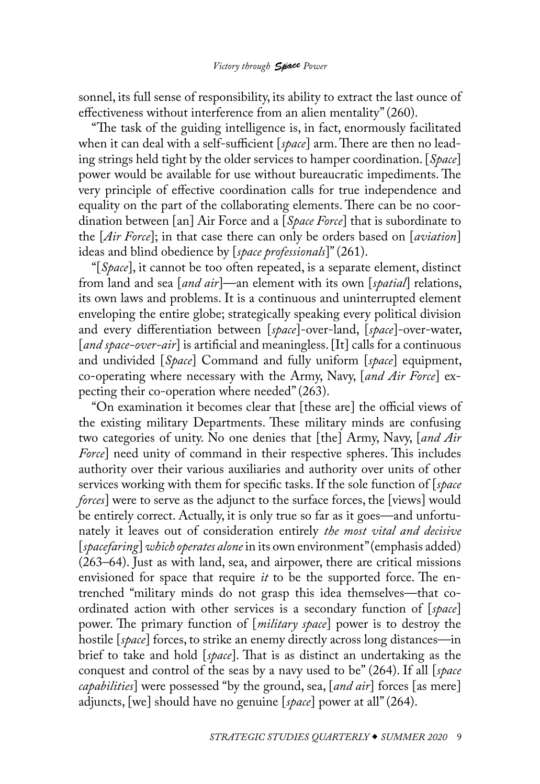sonnel, its full sense of responsibility, its ability to extract the last ounce of effectiveness without interference from an alien mentality" (260).

"The task of the guiding intelligence is, in fact, enormously facilitated when it can deal with a self-sufficient [*space*] arm. There are then no leading strings held tight by the older services to hamper coordination. [*Space*] power would be available for use without bureaucratic impediments. The very principle of effective coordination calls for true independence and equality on the part of the collaborating elements. There can be no coordination between [an] Air Force and a [*Space Force*] that is subordinate to the [*Air Force*]; in that case there can only be orders based on [*aviation*] ideas and blind obedience by [*space professionals*]" (261).

"[*Space*], it cannot be too often repeated, is a separate element, distinct from land and sea [*and air*]—an element with its own [*spatial*] relations, its own laws and problems. It is a continuous and uninterrupted element enveloping the entire globe; strategically speaking every political division and every differentiation between [*space*]-over-land, [*space*]-over-water, [*and space-over-air*] is artificial and meaningless. [It] calls for a continuous and undivided [*Space*] Command and fully uniform [*space*] equipment, co-operating where necessary with the Army, Navy, [*and Air Force*] expecting their co-operation where needed" (263).

"On examination it becomes clear that [these are] the official views of the existing military Departments. These military minds are confusing two categories of unity. No one denies that [the] Army, Navy, [*and Air Force*] need unity of command in their respective spheres. This includes authority over their various auxiliaries and authority over units of other services working with them for specific tasks. If the sole function of [*space forces*] were to serve as the adjunct to the surface forces, the [views] would be entirely correct. Actually, it is only true so far as it goes—and unfortunately it leaves out of consideration entirely *the most vital and decisive*  [*spacefaring*] *which operates alone* in its own environment" (emphasis added) (263–64). Just as with land, sea, and airpower, there are critical missions envisioned for space that require *it* to be the supported force. The entrenched "military minds do not grasp this idea themselves—that coordinated action with other services is a secondary function of [*space*] power. The primary function of [*military space*] power is to destroy the hostile [*space*] forces, to strike an enemy directly across long distances—in brief to take and hold [*space*]. That is as distinct an undertaking as the conquest and control of the seas by a navy used to be" (264). If all [*space capabilities*] were possessed "by the ground, sea, [*and air*] forces [as mere] adjuncts, [we] should have no genuine [*space*] power at all" (264).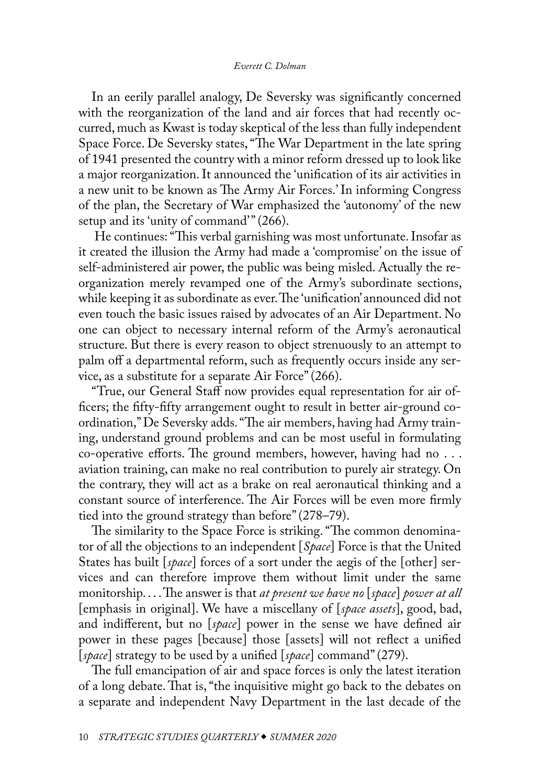In an eerily parallel analogy, De Seversky was significantly concerned with the reorganization of the land and air forces that had recently occurred, much as Kwast is today skeptical of the less than fully independent Space Force. De Seversky states, "The War Department in the late spring of 1941 presented the country with a minor reform dressed up to look like a major reorganization. It announced the 'unification of its air activities in a new unit to be known as The Army Air Forces.' In informing Congress of the plan, the Secretary of War emphasized the 'autonomy' of the new setup and its 'unity of command'" (266).

 He continues: "This verbal garnishing was most unfortunate. Insofar as it created the illusion the Army had made a 'compromise' on the issue of self-administered air power, the public was being misled. Actually the reorganization merely revamped one of the Army's subordinate sections, while keeping it as subordinate as ever. The 'unification' announced did not even touch the basic issues raised by advocates of an Air Department. No one can object to necessary internal reform of the Army's aeronautical structure. But there is every reason to object strenuously to an attempt to palm off a departmental reform, such as frequently occurs inside any service, as a substitute for a separate Air Force" (266).

"True, our General Staff now provides equal representation for air officers; the fifty-fifty arrangement ought to result in better air-ground coordination," De Seversky adds. "The air members, having had Army training, understand ground problems and can be most useful in formulating co-operative efforts. The ground members, however, having had no . . . aviation training, can make no real contribution to purely air strategy. On the contrary, they will act as a brake on real aeronautical thinking and a constant source of interference. The Air Forces will be even more firmly tied into the ground strategy than before" (278–79).

The similarity to the Space Force is striking. "The common denominator of all the objections to an independent [*Space*] Force is that the United States has built [*space*] forces of a sort under the aegis of the [other] services and can therefore improve them without limit under the same monitorship. . . . The answer is that *at present we have no* [*space*] *power at all*  [emphasis in original]. We have a miscellany of [*space assets*], good, bad, and indifferent, but no [*space*] power in the sense we have defined air power in these pages [because] those [assets] will not reflect a unified [*space*] strategy to be used by a unified [*space*] command" (279).

The full emancipation of air and space forces is only the latest iteration of a long debate. That is, "the inquisitive might go back to the debates on a separate and independent Navy Department in the last decade of the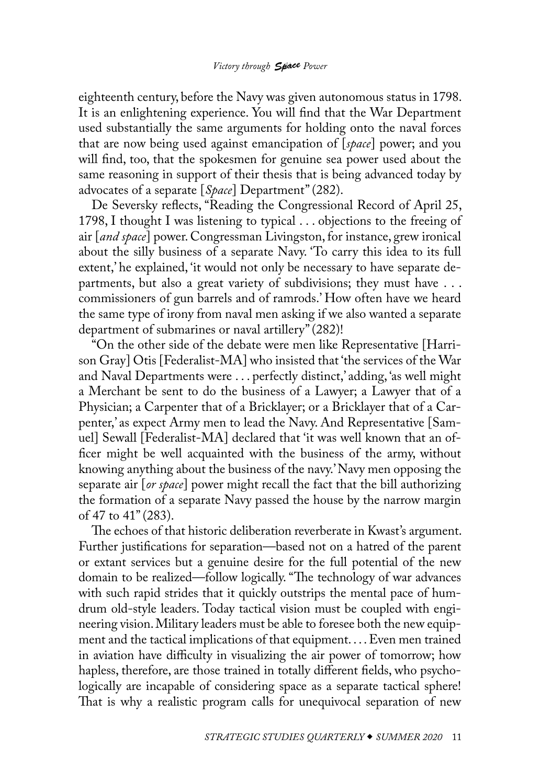eighteenth century, before the Navy was given autonomous status in 1798. It is an enlightening experience. You will find that the War Department used substantially the same arguments for holding onto the naval forces that are now being used against emancipation of [*space*] power; and you will find, too, that the spokesmen for genuine sea power used about the same reasoning in support of their thesis that is being advanced today by advocates of a separate [*Space*] Department" (282).

De Seversky reflects, "Reading the Congressional Record of April 25, 1798, I thought I was listening to typical . . . objections to the freeing of air [*and space*] power. Congressman Livingston, for instance, grew ironical about the silly business of a separate Navy. 'To carry this idea to its full extent,' he explained, 'it would not only be necessary to have separate departments, but also a great variety of subdivisions; they must have . . . commissioners of gun barrels and of ramrods.' How often have we heard the same type of irony from naval men asking if we also wanted a separate department of submarines or naval artillery" (282)!

"On the other side of the debate were men like Representative [Harrison Gray] Otis [Federalist-MA] who insisted that 'the services of the War and Naval Departments were . . . perfectly distinct,' adding, 'as well might a Merchant be sent to do the business of a Lawyer; a Lawyer that of a Physician; a Carpenter that of a Bricklayer; or a Bricklayer that of a Carpenter,' as expect Army men to lead the Navy. And Representative [Samuel] Sewall [Federalist-MA] declared that 'it was well known that an officer might be well acquainted with the business of the army, without knowing anything about the business of the navy.' Navy men opposing the separate air [*or space*] power might recall the fact that the bill authorizing the formation of a separate Navy passed the house by the narrow margin of 47 to 41" (283).

The echoes of that historic deliberation reverberate in Kwast's argument. Further justifications for separation—based not on a hatred of the parent or extant services but a genuine desire for the full potential of the new domain to be realized—follow logically. "The technology of war advances with such rapid strides that it quickly outstrips the mental pace of humdrum old-style leaders. Today tactical vision must be coupled with engineering vision. Military leaders must be able to foresee both the new equipment and the tactical implications of that equipment. . . . Even men trained in aviation have difficulty in visualizing the air power of tomorrow; how hapless, therefore, are those trained in totally different fields, who psychologically are incapable of considering space as a separate tactical sphere! That is why a realistic program calls for unequivocal separation of new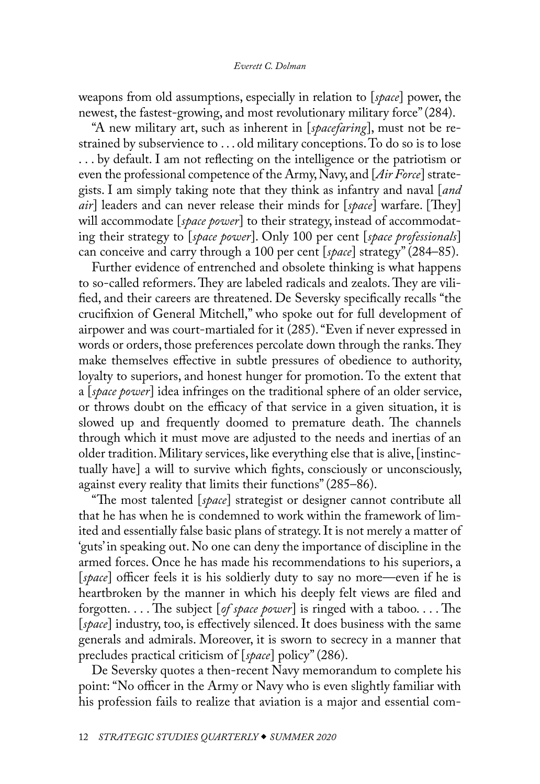weapons from old assumptions, especially in relation to [*space*] power, the newest, the fastest-growing, and most revolutionary military force" (284).

"A new military art, such as inherent in [*spacefaring*], must not be restrained by subservience to . . . old military conceptions. To do so is to lose . . . by default. I am not reflecting on the intelligence or the patriotism or even the professional competence of the Army, Navy, and [*Air Force*] strategists. I am simply taking note that they think as infantry and naval [*and air*] leaders and can never release their minds for [*space*] warfare. [They] will accommodate [*space power*] to their strategy, instead of accommodating their strategy to [*space power*]. Only 100 per cent [*space professionals*] can conceive and carry through a 100 per cent [*space*] strategy" (284–85).

Further evidence of entrenched and obsolete thinking is what happens to so-called reformers. They are labeled radicals and zealots. They are vilified, and their careers are threatened. De Seversky specifically recalls "the crucifixion of General Mitchell," who spoke out for full development of airpower and was court-martialed for it (285). "Even if never expressed in words or orders, those preferences percolate down through the ranks. They make themselves effective in subtle pressures of obedience to authority, loyalty to superiors, and honest hunger for promotion. To the extent that a [*space power*] idea infringes on the traditional sphere of an older service, or throws doubt on the efficacy of that service in a given situation, it is slowed up and frequently doomed to premature death. The channels through which it must move are adjusted to the needs and inertias of an older tradition. Military services, like everything else that is alive, [instinctually have] a will to survive which fights, consciously or unconsciously, against every reality that limits their functions" (285–86).

"The most talented [*space*] strategist or designer cannot contribute all that he has when he is condemned to work within the framework of limited and essentially false basic plans of strategy. It is not merely a matter of 'guts' in speaking out. No one can deny the importance of discipline in the armed forces. Once he has made his recommendations to his superiors, a [*space*] officer feels it is his soldierly duty to say no more—even if he is heartbroken by the manner in which his deeply felt views are filed and forgotten. . . . The subject [*of space power*] is ringed with a taboo. . . . The [*space*] industry, too, is effectively silenced. It does business with the same generals and admirals. Moreover, it is sworn to secrecy in a manner that precludes practical criticism of [*space*] policy" (286).

De Seversky quotes a then-recent Navy memorandum to complete his point: "No officer in the Army or Navy who is even slightly familiar with his profession fails to realize that aviation is a major and essential com-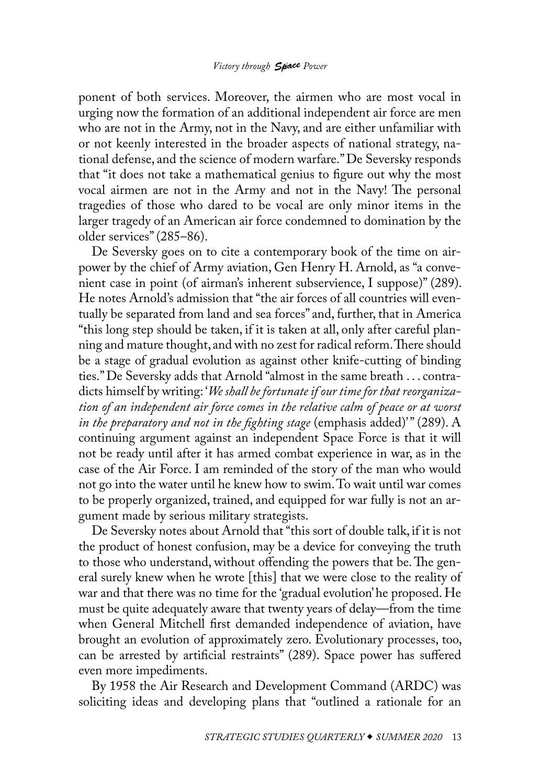ponent of both services. Moreover, the airmen who are most vocal in urging now the formation of an additional independent air force are men who are not in the Army, not in the Navy, and are either unfamiliar with or not keenly interested in the broader aspects of national strategy, national defense, and the science of modern warfare." De Seversky responds that "it does not take a mathematical genius to figure out why the most vocal airmen are not in the Army and not in the Navy! The personal tragedies of those who dared to be vocal are only minor items in the larger tragedy of an American air force condemned to domination by the older services" (285–86).

De Seversky goes on to cite a contemporary book of the time on airpower by the chief of Army aviation, Gen Henry H. Arnold, as "a convenient case in point (of airman's inherent subservience, I suppose)" (289). He notes Arnold's admission that "the air forces of all countries will eventually be separated from land and sea forces" and, further, that in America "this long step should be taken, if it is taken at all, only after careful planning and mature thought, and with no zest for radical reform. There should be a stage of gradual evolution as against other knife-cutting of binding ties." De Seversky adds that Arnold "almost in the same breath . . . contradicts himself by writing: '*We shall be fortunate if our time for that reorganization of an independent air force comes in the relative calm of peace or at worst in the preparatory and not in the fighting stage* (emphasis added)' " (289). A continuing argument against an independent Space Force is that it will not be ready until after it has armed combat experience in war, as in the case of the Air Force. I am reminded of the story of the man who would not go into the water until he knew how to swim. To wait until war comes to be properly organized, trained, and equipped for war fully is not an argument made by serious military strategists.

De Seversky notes about Arnold that "this sort of double talk, if it is not the product of honest confusion, may be a device for conveying the truth to those who understand, without offending the powers that be. The general surely knew when he wrote [this] that we were close to the reality of war and that there was no time for the 'gradual evolution' he proposed. He must be quite adequately aware that twenty years of delay—from the time when General Mitchell first demanded independence of aviation, have brought an evolution of approximately zero. Evolutionary processes, too, can be arrested by artificial restraints" (289). Space power has suffered even more impediments.

By 1958 the Air Research and Development Command (ARDC) was soliciting ideas and developing plans that "outlined a rationale for an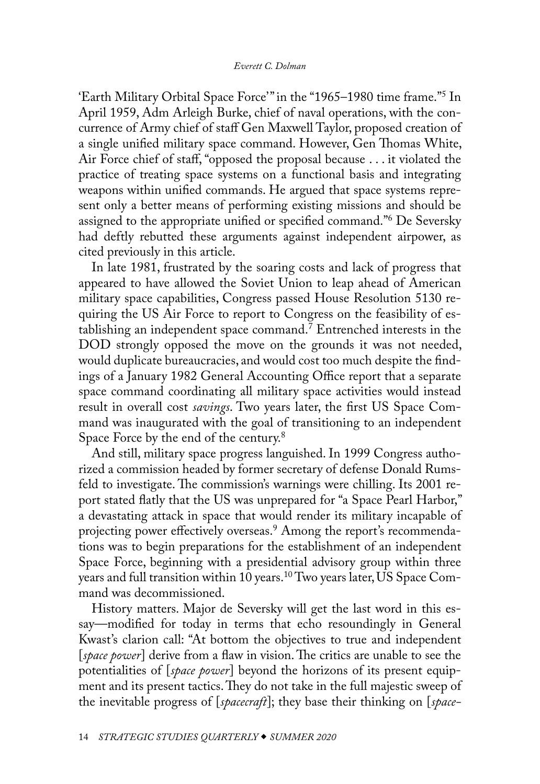<span id="page-11-0"></span>'Earth Military Orbital Space Force' " in the "1965–1980 time frame."[5](#page-12-0) In April 1959, Adm Arleigh Burke, chief of naval operations, with the concurrence of Army chief of staff Gen Maxwell Taylor, proposed creation of a single unified military space command. However, Gen Thomas White, Air Force chief of staff, "opposed the proposal because . . . it violated the practice of treating space systems on a functional basis and integrating weapons within unified commands. He argued that space systems represent only a better means of performing existing missions and should be assigned to the appropriate unified or specified command."[6](#page-12-0) De Seversky had deftly rebutted these arguments against independent airpower, as cited previously in this article.

In late 1981, frustrated by the soaring costs and lack of progress that appeared to have allowed the Soviet Union to leap ahead of American military space capabilities, Congress passed House Resolution 5130 requiring the US Air Force to report to Congress on the feasibility of establishing an independent space command.[7](#page-12-0) Entrenched interests in the DOD strongly opposed the move on the grounds it was not needed, would duplicate bureaucracies, and would cost too much despite the findings of a January 1982 General Accounting Office report that a separate space command coordinating all military space activities would instead result in overall cost *savings*. Two years later, the first US Space Command was inaugurated with the goal of transitioning to an independent Space Force by the end of the century.<sup>[8](#page-12-0)</sup>

And still, military space progress languished. In 1999 Congress authorized a commission headed by former secretary of defense Donald Rumsfeld to investigate. The commission's warnings were chilling. Its 2001 report stated flatly that the US was unprepared for "a Space Pearl Harbor," a devastating attack in space that would render its military incapable of projecting power effectively overseas.<sup>9</sup> Among the report's recommendations was to begin preparations for the establishment of an independent Space Force, beginning with a presidential advisory group within three years and full transition within 10 years.<sup>10</sup> Two years later, US Space Command was decommissioned.

History matters. Major de Seversky will get the last word in this essay—modified for today in terms that echo resoundingly in General Kwast's clarion call: "At bottom the objectives to true and independent [*space power*] derive from a flaw in vision. The critics are unable to see the potentialities of [*space power*] beyond the horizons of its present equipment and its present tactics. They do not take in the full majestic sweep of the inevitable progress of [*spacecraft*]; they base their thinking on [*space-*